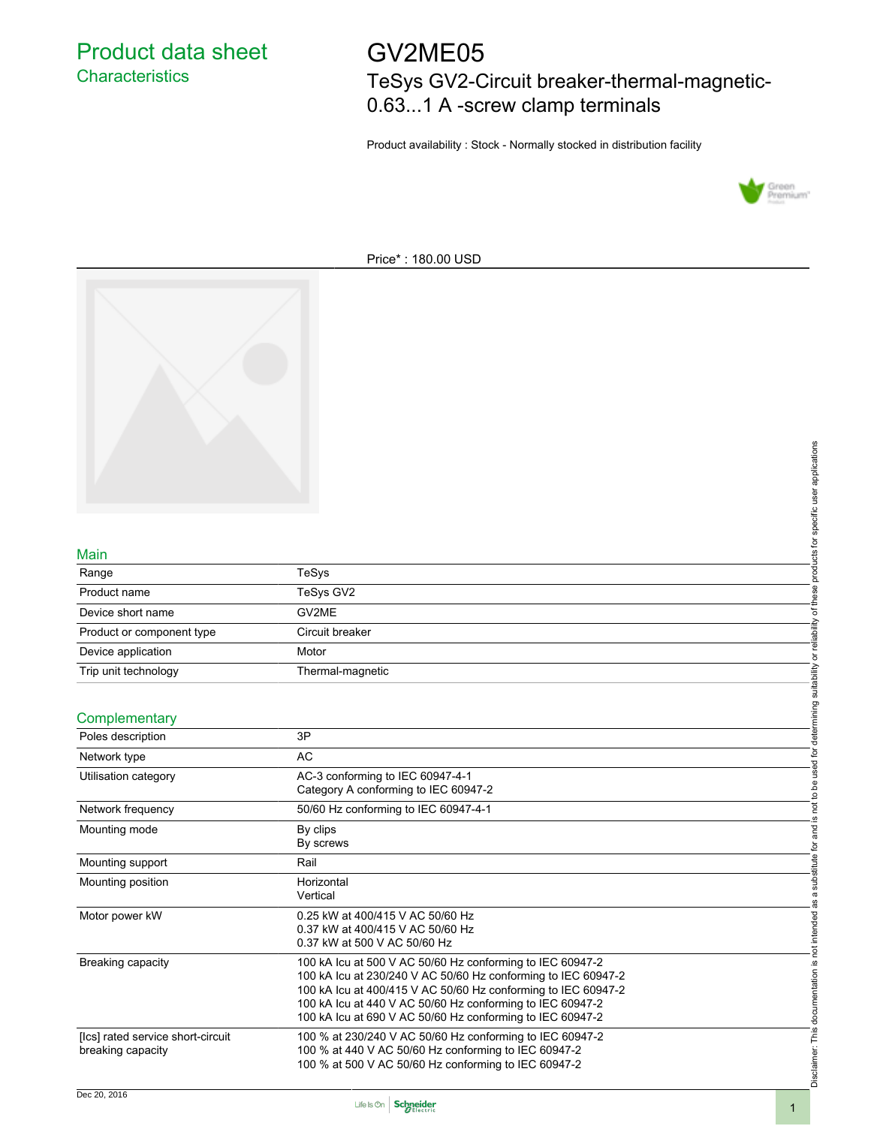# GV2ME05 TeSys GV2-Circuit breaker-thermal-magnetic-0.63...1 A -screw clamp terminals

Product availability : Stock - Normally stocked in distribution facility



Price\* : 180.00 USD



#### Main

|                             |                                    | applications<br>user |
|-----------------------------|------------------------------------|----------------------|
| Main                        |                                    | specific<br>icts for |
| Range                       | TeSys                              | ಕ<br>ā               |
| Product name                | TeSys GV2                          |                      |
| Device short name           | GV2ME                              | ৳                    |
| Product or component type   | Circuit breaker                    | eliability           |
| Device application          | Motor                              | ਠ                    |
| Trip unit technology        | Thermal-magnetic                   | suitability          |
| Complementary               |                                    | mining               |
| Poles description           | 3P                                 | detern               |
| Network type                | AC                                 | $\circ$<br>요         |
| <b>Utilication category</b> | $AC-3$ conforming to IEC 60047-4-1 |                      |

#### **Complementary**

|                                                        |                                                                                                                                                                                                                                                                                                                       | products for specific user applications                                |
|--------------------------------------------------------|-----------------------------------------------------------------------------------------------------------------------------------------------------------------------------------------------------------------------------------------------------------------------------------------------------------------------|------------------------------------------------------------------------|
| Main                                                   |                                                                                                                                                                                                                                                                                                                       |                                                                        |
| Range                                                  | TeSys                                                                                                                                                                                                                                                                                                                 |                                                                        |
| Product name                                           | TeSys GV2                                                                                                                                                                                                                                                                                                             |                                                                        |
| Device short name                                      | GV2ME                                                                                                                                                                                                                                                                                                                 |                                                                        |
| Product or component type                              | Circuit breaker                                                                                                                                                                                                                                                                                                       |                                                                        |
| Device application                                     | Motor                                                                                                                                                                                                                                                                                                                 |                                                                        |
| Trip unit technology                                   | Thermal-magnetic                                                                                                                                                                                                                                                                                                      |                                                                        |
|                                                        |                                                                                                                                                                                                                                                                                                                       |                                                                        |
| Complementary                                          |                                                                                                                                                                                                                                                                                                                       |                                                                        |
| Poles description                                      | 3P                                                                                                                                                                                                                                                                                                                    |                                                                        |
| Network type                                           | <b>AC</b>                                                                                                                                                                                                                                                                                                             |                                                                        |
| Utilisation category                                   | AC-3 conforming to IEC 60947-4-1<br>Category A conforming to IEC 60947-2                                                                                                                                                                                                                                              | not to be used for determining suitability or reliability of these     |
| Network frequency                                      | 50/60 Hz conforming to IEC 60947-4-1                                                                                                                                                                                                                                                                                  |                                                                        |
| Mounting mode                                          | By clips<br>By screws                                                                                                                                                                                                                                                                                                 | . <u>ω</u>                                                             |
| Mounting support                                       | Rail                                                                                                                                                                                                                                                                                                                  |                                                                        |
| Mounting position                                      | Horizontal<br>Vertical                                                                                                                                                                                                                                                                                                |                                                                        |
| Motor power kW                                         | 0.25 kW at 400/415 V AC 50/60 Hz<br>0.37 kW at 400/415 V AC 50/60 Hz<br>0.37 kW at 500 V AC 50/60 Hz                                                                                                                                                                                                                  |                                                                        |
| Breaking capacity                                      | 100 kA lcu at 500 V AC 50/60 Hz conforming to IEC 60947-2<br>100 kA Icu at 230/240 V AC 50/60 Hz conforming to IEC 60947-2<br>100 kA lcu at 400/415 V AC 50/60 Hz conforming to IEC 60947-2<br>100 kA lcu at 440 V AC 50/60 Hz conforming to IEC 60947-2<br>100 kA lcu at 690 V AC 50/60 Hz conforming to IEC 60947-2 | Disclaimer: This documentation is not intended as a substitute for and |
| [Ics] rated service short-circuit<br>breaking capacity | 100 % at 230/240 V AC 50/60 Hz conforming to IEC 60947-2<br>100 % at 440 V AC 50/60 Hz conforming to IEC 60947-2<br>100 % at 500 V AC 50/60 Hz conforming to IEC 60947-2                                                                                                                                              |                                                                        |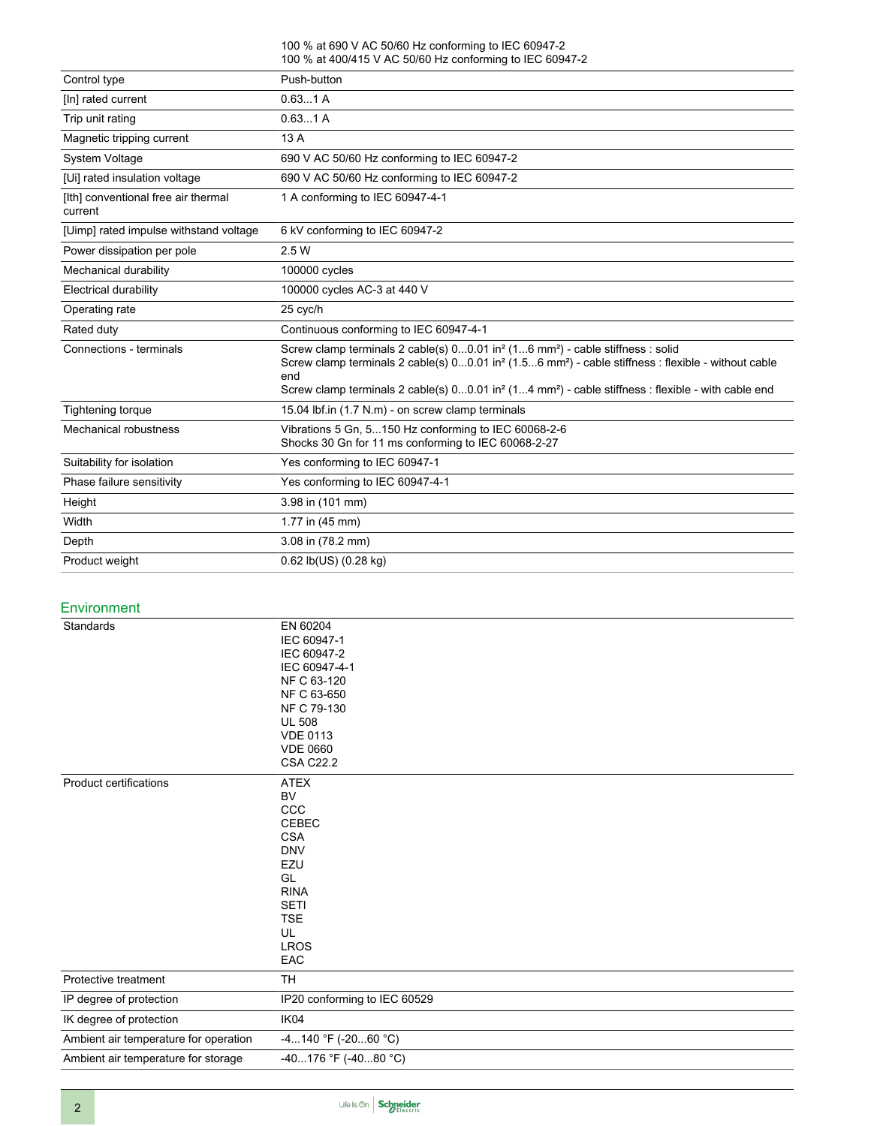#### 100 % at 690 V AC 50/60 Hz conforming to IEC 60947-2 100 % at 400/415 V AC 50/60 Hz conforming to IEC 60947-2

| Control type                                   | Push-button                                                                                                                                                                                                                                                                                                                                                                      |
|------------------------------------------------|----------------------------------------------------------------------------------------------------------------------------------------------------------------------------------------------------------------------------------------------------------------------------------------------------------------------------------------------------------------------------------|
| [In] rated current                             | 0.631A                                                                                                                                                                                                                                                                                                                                                                           |
| Trip unit rating                               | 0.631A                                                                                                                                                                                                                                                                                                                                                                           |
| Magnetic tripping current                      | 13A                                                                                                                                                                                                                                                                                                                                                                              |
| System Voltage                                 | 690 V AC 50/60 Hz conforming to IEC 60947-2                                                                                                                                                                                                                                                                                                                                      |
| [Ui] rated insulation voltage                  | 690 V AC 50/60 Hz conforming to IEC 60947-2                                                                                                                                                                                                                                                                                                                                      |
| [Ith] conventional free air thermal<br>current | 1 A conforming to IEC 60947-4-1                                                                                                                                                                                                                                                                                                                                                  |
| [Uimp] rated impulse withstand voltage         | 6 kV conforming to IEC 60947-2                                                                                                                                                                                                                                                                                                                                                   |
| Power dissipation per pole                     | 2.5 W                                                                                                                                                                                                                                                                                                                                                                            |
| Mechanical durability                          | 100000 cycles                                                                                                                                                                                                                                                                                                                                                                    |
| Electrical durability                          | 100000 cycles AC-3 at 440 V                                                                                                                                                                                                                                                                                                                                                      |
| Operating rate                                 | 25 cyc/h                                                                                                                                                                                                                                                                                                                                                                         |
| Rated duty                                     | Continuous conforming to IEC 60947-4-1                                                                                                                                                                                                                                                                                                                                           |
| Connections - terminals                        | Screw clamp terminals 2 cable(s) 00.01 in <sup>2</sup> (16 mm <sup>2</sup> ) - cable stiffness : solid<br>Screw clamp terminals 2 cable(s) $00.01$ in <sup>2</sup> (1.56 mm <sup>2</sup> ) - cable stiffness : flexible - without cable<br>end<br>Screw clamp terminals 2 cable(s) $00.01$ in <sup>2</sup> $(14$ mm <sup>2</sup> ) - cable stiffness : flexible - with cable end |
| Tightening torque                              | 15.04 lbf.in (1.7 N.m) - on screw clamp terminals                                                                                                                                                                                                                                                                                                                                |
| Mechanical robustness                          | Vibrations 5 Gn, 5150 Hz conforming to IEC 60068-2-6<br>Shocks 30 Gn for 11 ms conforming to IEC 60068-2-27                                                                                                                                                                                                                                                                      |
| Suitability for isolation                      | Yes conforming to IEC 60947-1                                                                                                                                                                                                                                                                                                                                                    |
| Phase failure sensitivity                      | Yes conforming to IEC 60947-4-1                                                                                                                                                                                                                                                                                                                                                  |
| Height                                         | 3.98 in (101 mm)                                                                                                                                                                                                                                                                                                                                                                 |
| Width                                          | 1.77 in (45 mm)                                                                                                                                                                                                                                                                                                                                                                  |
| Depth                                          | 3.08 in (78.2 mm)                                                                                                                                                                                                                                                                                                                                                                |
| Product weight                                 | 0.62 lb(US) (0.28 kg)                                                                                                                                                                                                                                                                                                                                                            |

#### Environment

| Standards                             | EN 60204<br>IEC 60947-1<br>IEC 60947-2<br>IEC 60947-4-1<br>NF C 63-120<br>NF C 63-650<br>NF C 79-130<br><b>UL 508</b><br><b>VDE 0113</b><br><b>VDE 0660</b><br><b>CSA C22.2</b> |
|---------------------------------------|---------------------------------------------------------------------------------------------------------------------------------------------------------------------------------|
| <b>Product certifications</b>         | <b>ATEX</b><br><b>BV</b><br>CCC<br><b>CEBEC</b><br><b>CSA</b><br><b>DNV</b><br>EZU<br>GL<br><b>RINA</b><br><b>SETI</b><br><b>TSE</b><br>UL<br><b>LROS</b><br>EAC                |
| Protective treatment                  | <b>TH</b>                                                                                                                                                                       |
| IP degree of protection               | IP20 conforming to IEC 60529                                                                                                                                                    |
| IK degree of protection               | IK04                                                                                                                                                                            |
| Ambient air temperature for operation | $-4140$ °F (-2060 °C)                                                                                                                                                           |
| Ambient air temperature for storage   | -40176 °F (-4080 °C)                                                                                                                                                            |